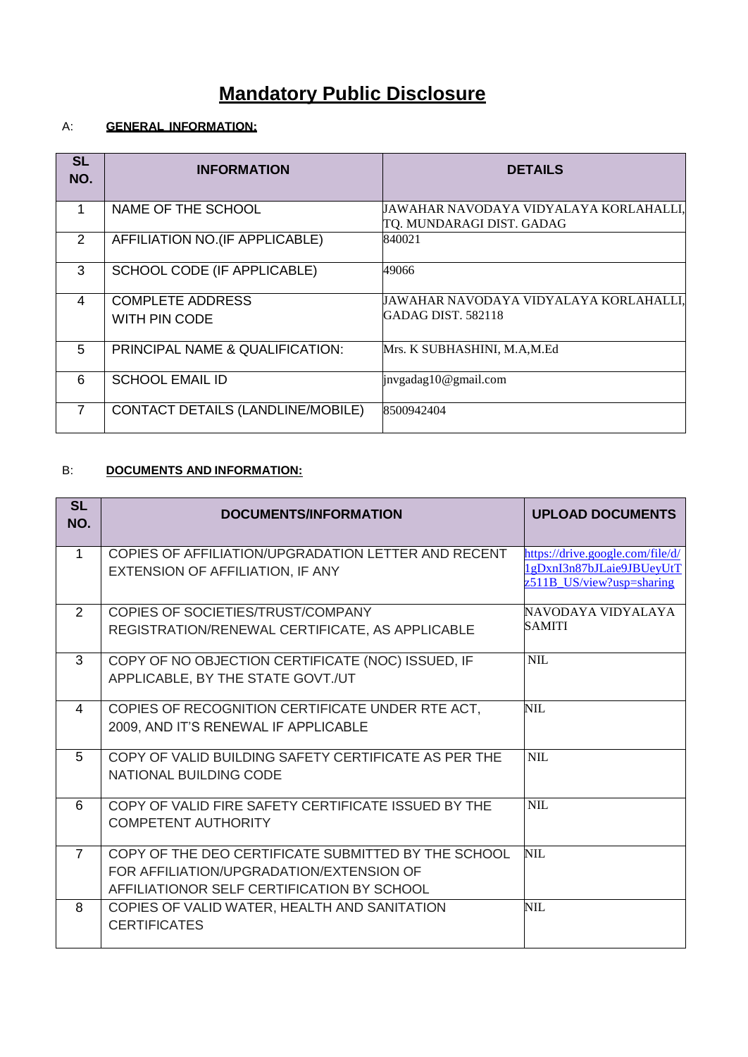# **Mandatory Public Disclosure**

## A: **GENERAL INFORMATION:**

| <b>SL</b><br>NO. | <b>INFORMATION</b>                       | <b>DETAILS</b>                                                      |
|------------------|------------------------------------------|---------------------------------------------------------------------|
|                  | NAME OF THE SCHOOL                       | JAWAHAR NAVODAYA VIDYALAYA KORLAHALLI,<br>TQ. MUNDARAGI DIST. GADAG |
| 2                | AFFILIATION NO.(IF APPLICABLE)           | 840021                                                              |
| 3                | SCHOOL CODE (IF APPLICABLE)              | 49066                                                               |
| 4                | <b>COMPLETE ADDRESS</b><br>WITH PIN CODE | JAWAHAR NAVODAYA VIDYALAYA KORLAHALLI,<br>GADAG DIST. 582118        |
| 5                | PRINCIPAL NAME & QUALIFICATION:          | Mrs. K SUBHASHINI, M.A,M.Ed                                         |
| 6                | <b>SCHOOL EMAIL ID</b>                   | invgadag10@gmail.com                                                |
| 7                | CONTACT DETAILS (LANDLINE/MOBILE)        | 8500942404                                                          |

#### B: **DOCUMENTS AND INFORMATION:**

| <b>SL</b><br>NO. | <b>DOCUMENTS/INFORMATION</b>                                                                                                                  | <b>UPLOAD DOCUMENTS</b>                                                                    |
|------------------|-----------------------------------------------------------------------------------------------------------------------------------------------|--------------------------------------------------------------------------------------------|
| $\mathbf 1$      | COPIES OF AFFILIATION/UPGRADATION LETTER AND RECENT<br>EXTENSION OF AFFILIATION, IF ANY                                                       | https://drive.google.com/file/d/<br>1gDxnI3n87bJLaie9JBUeyUtT<br>z511B_US/view?usp=sharing |
| $\mathcal{P}$    | COPIES OF SOCIETIES/TRUST/COMPANY<br>REGISTRATION/RENEWAL CERTIFICATE, AS APPLICABLE                                                          | NAVODAYA VIDYALAYA<br><b>SAMITI</b>                                                        |
| 3                | COPY OF NO OBJECTION CERTIFICATE (NOC) ISSUED, IF<br>APPLICABLE, BY THE STATE GOVT./UT                                                        | <b>NIL</b>                                                                                 |
| 4                | COPIES OF RECOGNITION CERTIFICATE UNDER RTE ACT,<br>2009, AND IT'S RENEWAL IF APPLICABLE                                                      | <b>NIL</b>                                                                                 |
| 5                | COPY OF VALID BUILDING SAFETY CERTIFICATE AS PER THE<br>NATIONAL BUILDING CODE                                                                | <b>NIL</b>                                                                                 |
| 6                | COPY OF VALID FIRE SAFETY CERTIFICATE ISSUED BY THE<br><b>COMPETENT AUTHORITY</b>                                                             | <b>NIL</b>                                                                                 |
| $\overline{7}$   | COPY OF THE DEO CERTIFICATE SUBMITTED BY THE SCHOOL<br>FOR AFFILIATION/UPGRADATION/EXTENSION OF<br>AFFILIATIONOR SELF CERTIFICATION BY SCHOOL | NIL.                                                                                       |
| 8                | COPIES OF VALID WATER, HEALTH AND SANITATION<br><b>CERTIFICATES</b>                                                                           | NIL.                                                                                       |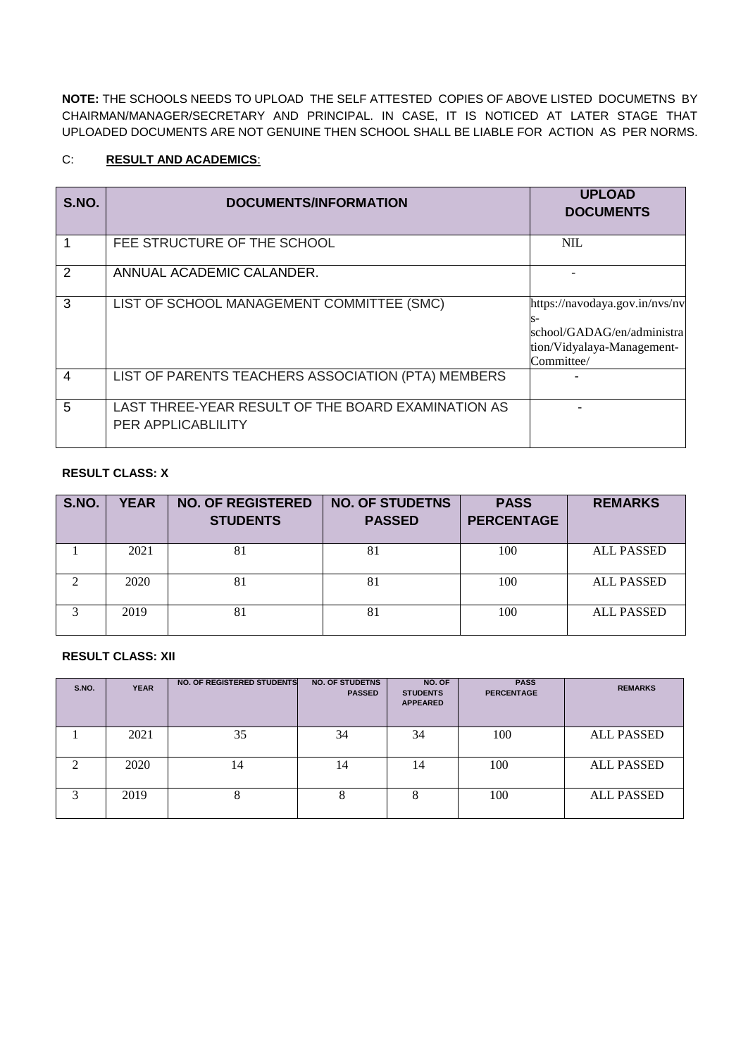**NOTE:** THE SCHOOLS NEEDS TO UPLOAD THE SELF ATTESTED COPIES OF ABOVE LISTED DOCUMETNS BY CHAIRMAN/MANAGER/SECRETARY AND PRINCIPAL. IN CASE, IT IS NOTICED AT LATER STAGE THAT UPLOADED DOCUMENTS ARE NOT GENUINE THEN SCHOOL SHALL BE LIABLE FOR ACTION AS PER NORMS.

#### C: **RESULT AND ACADEMICS**:

| S.NO.          | <b>DOCUMENTS/INFORMATION</b>                                                    | <b>UPLOAD</b><br><b>DOCUMENTS</b>                                                                              |
|----------------|---------------------------------------------------------------------------------|----------------------------------------------------------------------------------------------------------------|
|                | FEE STRUCTURE OF THE SCHOOL                                                     | <b>NIL</b>                                                                                                     |
| 2              | ANNUAL ACADEMIC CALANDER.                                                       |                                                                                                                |
| 3              | LIST OF SCHOOL MANAGEMENT COMMITTEE (SMC)                                       | https://navodaya.gov.in/nvs/nv<br>s-<br>school/GADAG/en/administra<br>tion/Vidyalaya-Management-<br>Committee/ |
| $\overline{4}$ | LIST OF PARENTS TEACHERS ASSOCIATION (PTA) MEMBERS                              |                                                                                                                |
| 5              | LAST THREE-YEAR RESULT OF THE BOARD EXAMINATION AS<br><b>PER APPLICABLILITY</b> |                                                                                                                |

#### **RESULT CLASS: X**

| S.NO. | <b>YEAR</b> | <b>NO. OF REGISTERED</b><br><b>STUDENTS</b> | <b>NO. OF STUDETNS</b><br><b>PASSED</b> | <b>PASS</b><br><b>PERCENTAGE</b> | <b>REMARKS</b>    |
|-------|-------------|---------------------------------------------|-----------------------------------------|----------------------------------|-------------------|
|       | 2021        | 81                                          | 81                                      | 100                              | <b>ALL PASSED</b> |
| ◠     | 2020        | 81                                          | 81                                      | 100                              | <b>ALL PASSED</b> |
| 3     | 2019        | 81                                          | 81                                      | 100                              | <b>ALL PASSED</b> |

#### **RESULT CLASS: XII**

| S.NO. | <b>YEAR</b> | NO. OF REGISTERED STUDENTS | <b>NO. OF STUDETNS</b><br><b>PASSED</b> | NO. OF<br><b>STUDENTS</b><br><b>APPEARED</b> | <b>PASS</b><br><b>PERCENTAGE</b> | <b>REMARKS</b>    |
|-------|-------------|----------------------------|-----------------------------------------|----------------------------------------------|----------------------------------|-------------------|
|       | 2021        | 35                         | 34                                      | 34                                           | 100                              | <b>ALL PASSED</b> |
| ◠     | 2020        | 14                         | 14                                      | 14                                           | 100                              | <b>ALL PASSED</b> |
| 3     | 2019        | Ω                          | ð                                       | 8                                            | 100                              | <b>ALL PASSED</b> |